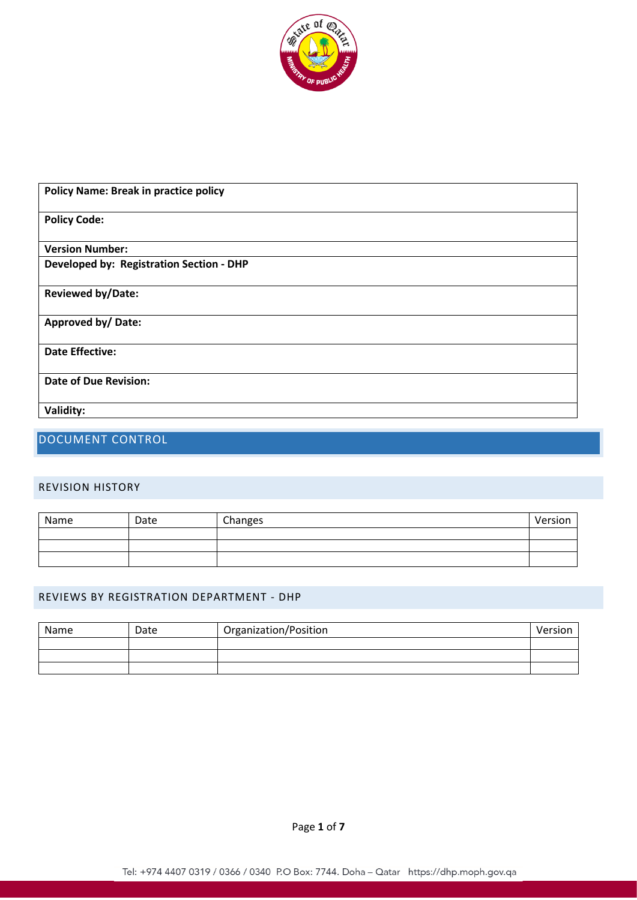

| <b>Policy Name: Break in practice policy</b> |
|----------------------------------------------|
| <b>Policy Code:</b>                          |
| <b>Version Number:</b>                       |
| Developed by: Registration Section - DHP     |
| <b>Reviewed by/Date:</b>                     |
| <b>Approved by/Date:</b>                     |
| <b>Date Effective:</b>                       |
| <b>Date of Due Revision:</b>                 |
| Validity:                                    |

# DOCUMENT CONTROL

### REVISION HISTORY

| Name | Date | Changes | Version |
|------|------|---------|---------|
|      |      |         |         |
|      |      |         |         |
|      |      |         |         |

### REVIEWS BY REGISTRATION DEPARTMENT - DHP

| Name | Date | Organization/Position | Version |
|------|------|-----------------------|---------|
|      |      |                       |         |
|      |      |                       |         |
|      |      |                       |         |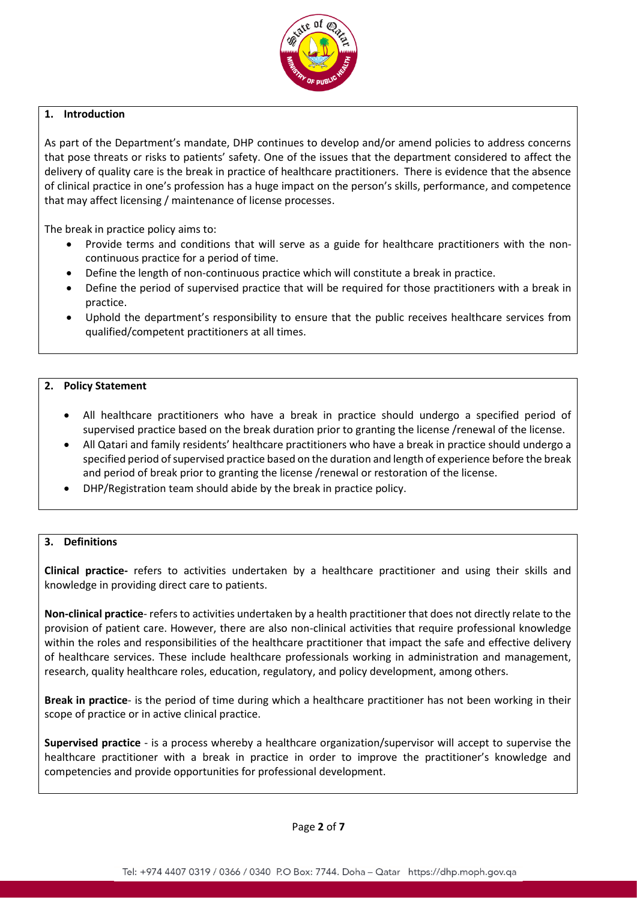

### **1. Introduction**

As part of the Department's mandate, DHP continues to develop and/or amend policies to address concerns that pose threats or risks to patients' safety. One of the issues that the department considered to affect the delivery of quality care is the break in practice of healthcare practitioners. There is evidence that the absence of clinical practice in one's profession has a huge impact on the person's skills, performance, and competence that may affect licensing / maintenance of license processes.

The break in practice policy aims to:

- Provide terms and conditions that will serve as a guide for healthcare practitioners with the noncontinuous practice for a period of time.
- Define the length of non-continuous practice which will constitute a break in practice.
- Define the period of supervised practice that will be required for those practitioners with a break in practice.
- Uphold the department's responsibility to ensure that the public receives healthcare services from qualified/competent practitioners at all times.

### **2. Policy Statement**

- All healthcare practitioners who have a break in practice should undergo a specified period of supervised practice based on the break duration prior to granting the license /renewal of the license.
- All Qatari and family residents' healthcare practitioners who have a break in practice should undergo a specified period of supervised practice based on the duration and length of experience before the break and period of break prior to granting the license /renewal or restoration of the license.
- DHP/Registration team should abide by the break in practice policy.

### **3. Definitions**

**Clinical practice-** refers to activities undertaken by a healthcare practitioner and using their skills and knowledge in providing direct care to patients.

**Non-clinical practice**- refers to activities undertaken by a health practitioner that does not directly relate to the provision of patient care. However, there are also non-clinical activities that require professional knowledge within the roles and responsibilities of the healthcare practitioner that impact the safe and effective delivery of healthcare services. These include healthcare professionals working in administration and management, research, quality healthcare roles, education, regulatory, and policy development, among others.

**Break in practice**- is the period of time during which a healthcare practitioner has not been working in their scope of practice or in active clinical practice.

**Supervised practice** - is a process whereby a healthcare organization/supervisor will accept to supervise the healthcare practitioner with a break in practice in order to improve the practitioner's knowledge and competencies and provide opportunities for professional development.

Page **2** of **7**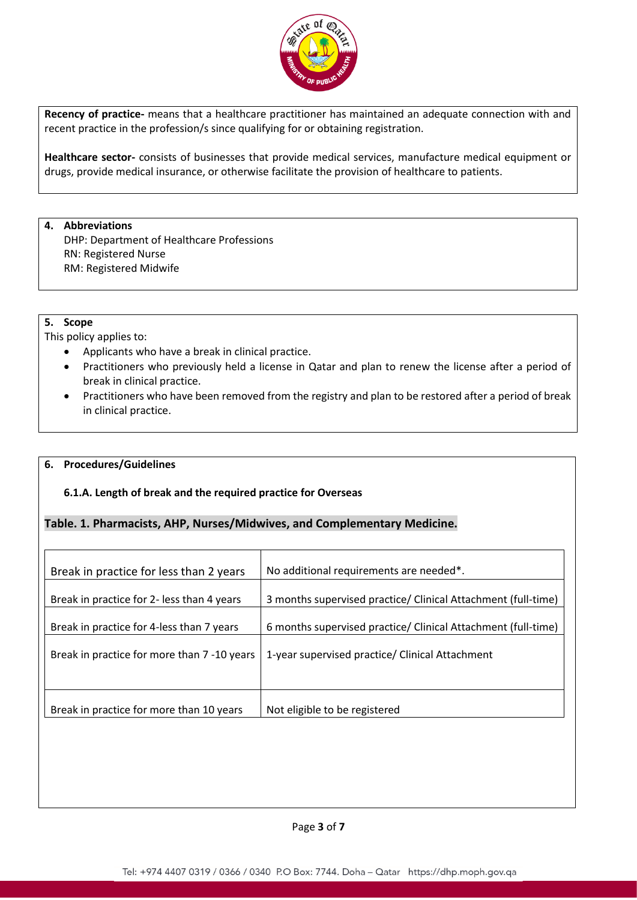

**Recency of practice-** means that a healthcare practitioner has maintained an adequate connection with and recent practice in the profession/s since qualifying for or obtaining registration.

**Healthcare sector-** consists of businesses that provide medical services, manufacture medical equipment or drugs, provide medical insurance, or otherwise facilitate the provision of healthcare to patients.

#### **4. Abbreviations**

DHP: Department of Healthcare Professions RN: Registered Nurse RM: Registered Midwife

### **5. Scope**

This policy applies to:

- Applicants who have a break in clinical practice.
- Practitioners who previously held a license in Qatar and plan to renew the license after a period of break in clinical practice.
- Practitioners who have been removed from the registry and plan to be restored after a period of break in clinical practice.

### **6. Procedures/Guidelines**

### **6.1.A. Length of break and the required practice for Overseas**

### **Table. 1. Pharmacists, AHP, Nurses/Midwives, and Complementary Medicine.**

| Break in practice for less than 2 years     | No additional requirements are needed*.                       |
|---------------------------------------------|---------------------------------------------------------------|
| Break in practice for 2- less than 4 years  | 3 months supervised practice/ Clinical Attachment (full-time) |
| Break in practice for 4-less than 7 years   | 6 months supervised practice/ Clinical Attachment (full-time) |
| Break in practice for more than 7 -10 years | 1-year supervised practice/ Clinical Attachment               |
|                                             |                                                               |
| Break in practice for more than 10 years    | Not eligible to be registered                                 |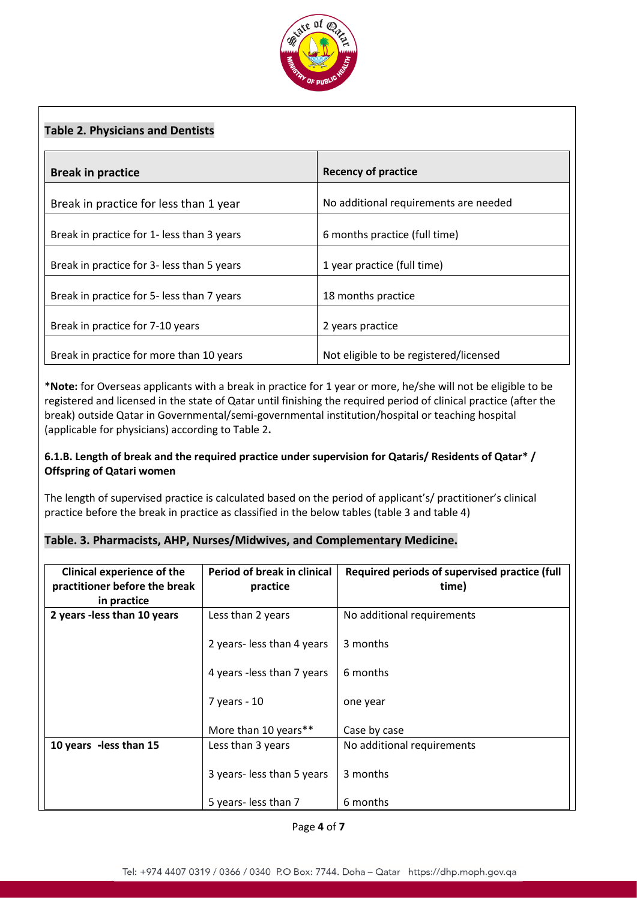

### **Table 2. Physicians and Dentists**

| <b>Break in practice</b>                   | <b>Recency of practice</b>             |
|--------------------------------------------|----------------------------------------|
| Break in practice for less than 1 year     | No additional requirements are needed  |
| Break in practice for 1- less than 3 years | 6 months practice (full time)          |
| Break in practice for 3- less than 5 years | 1 year practice (full time)            |
| Break in practice for 5- less than 7 years | 18 months practice                     |
| Break in practice for 7-10 years           | 2 years practice                       |
| Break in practice for more than 10 years   | Not eligible to be registered/licensed |

**\*Note:** for Overseas applicants with a break in practice for 1 year or more, he/she will not be eligible to be registered and licensed in the state of Qatar until finishing the required period of clinical practice (after the break) outside Qatar in Governmental/semi-governmental institution/hospital or teaching hospital (applicable for physicians) according to Table 2**.**

### **6.1.B. Length of break and the required practice under supervision for Qataris/ Residents of Qatar\* / Offspring of Qatari women**

The length of supervised practice is calculated based on the period of applicant's/ practitioner's clinical practice before the break in practice as classified in the below tables (table 3 and table 4)

### **Table. 3. Pharmacists, AHP, Nurses/Midwives, and Complementary Medicine.**

| <b>Clinical experience of the</b> | Period of break in clinical | Required periods of supervised practice (full |
|-----------------------------------|-----------------------------|-----------------------------------------------|
| practitioner before the break     | practice                    | time)                                         |
| in practice                       |                             |                                               |
| 2 years - less than 10 years      | Less than 2 years           | No additional requirements                    |
|                                   | 2 years-less than 4 years   | 3 months                                      |
|                                   | 4 years - less than 7 years | 6 months                                      |
|                                   | 7 years - 10                | one year                                      |
|                                   | More than 10 years**        | Case by case                                  |
| 10 years -less than 15            | Less than 3 years           | No additional requirements                    |
|                                   | 3 years-less than 5 years   | 3 months                                      |
|                                   | 5 years- less than 7        | 6 months                                      |

Page **4** of **7**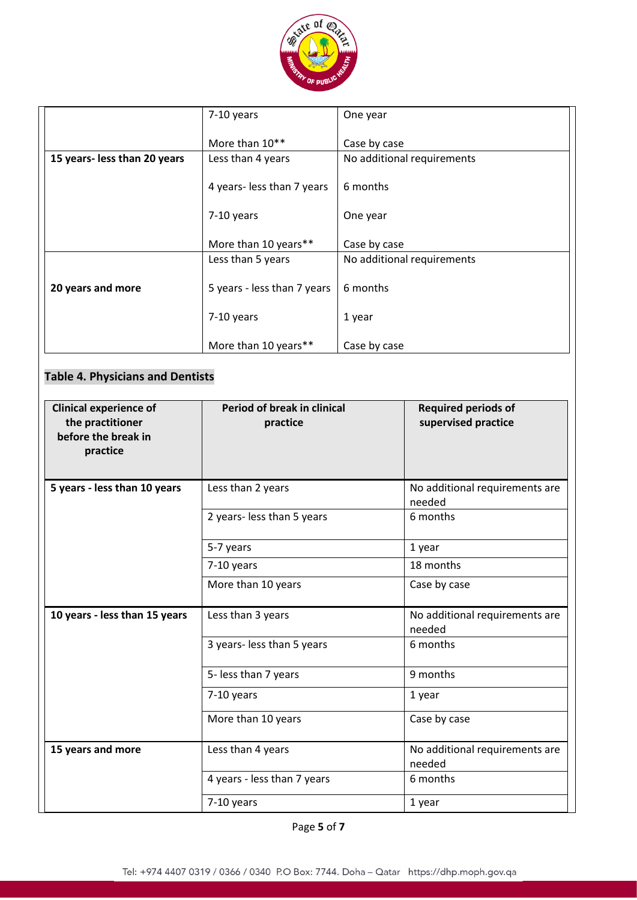

|                              | 7-10 years                  | One year                   |
|------------------------------|-----------------------------|----------------------------|
|                              |                             |                            |
|                              | More than 10**              | Case by case               |
| 15 years- less than 20 years | Less than 4 years           | No additional requirements |
|                              |                             |                            |
|                              | 4 years-less than 7 years   | 6 months                   |
|                              |                             |                            |
|                              | 7-10 years                  | One year                   |
|                              |                             |                            |
|                              | More than 10 years**        | Case by case               |
|                              | Less than 5 years           | No additional requirements |
|                              |                             |                            |
| 20 years and more            | 5 years - less than 7 years | 6 months                   |
|                              |                             |                            |
|                              | 7-10 years                  | 1 year                     |
|                              |                             |                            |
|                              | More than 10 years**        | Case by case               |

## **Table 4. Physicians and Dentists**

| <b>Clinical experience of</b><br>the practitioner<br>before the break in<br>practice | <b>Period of break in clinical</b><br>practice | <b>Required periods of</b><br>supervised practice |
|--------------------------------------------------------------------------------------|------------------------------------------------|---------------------------------------------------|
| 5 years - less than 10 years                                                         | Less than 2 years                              | No additional requirements are<br>needed          |
|                                                                                      | 2 years- less than 5 years                     | 6 months                                          |
|                                                                                      | 5-7 years                                      | 1 year                                            |
|                                                                                      | 7-10 years                                     | 18 months                                         |
|                                                                                      | More than 10 years                             | Case by case                                      |
| 10 years - less than 15 years                                                        | Less than 3 years                              | No additional requirements are<br>needed          |
|                                                                                      | 3 years- less than 5 years                     | 6 months                                          |
|                                                                                      | 5- less than 7 years                           | 9 months                                          |
|                                                                                      | 7-10 years                                     | 1 year                                            |
|                                                                                      | More than 10 years                             | Case by case                                      |
| 15 years and more                                                                    | Less than 4 years                              | No additional requirements are<br>needed          |
|                                                                                      | 4 years - less than 7 years                    | 6 months                                          |
|                                                                                      | 7-10 years                                     | 1 year                                            |

Page **5** of **7**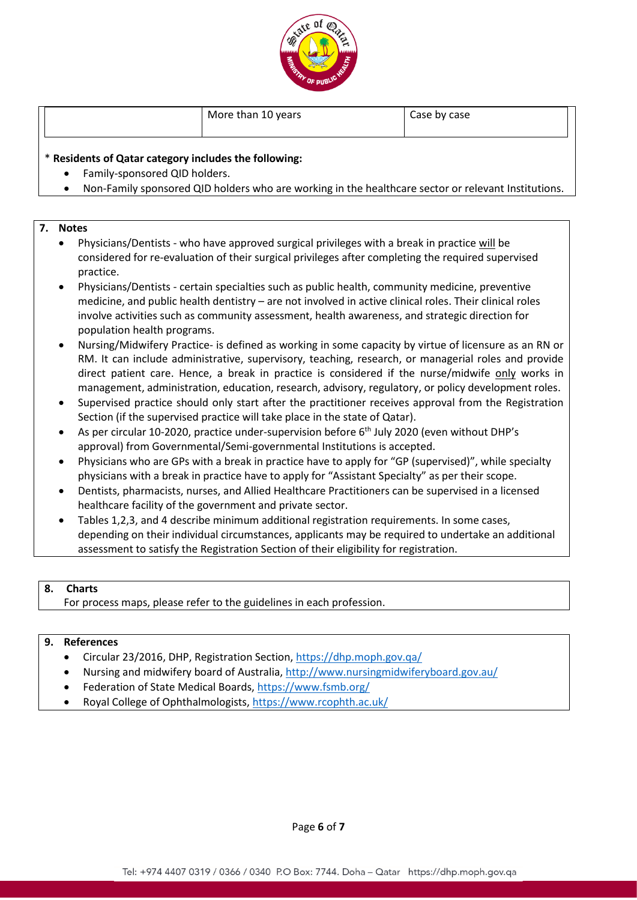

|  |  |  | More than 10 years | Case by case |
|--|--|--|--------------------|--------------|
|--|--|--|--------------------|--------------|

### \* **Residents of Qatar category includes the following:**

- Family-sponsored QID holders.
- Non-Family sponsored QID holders who are working in the healthcare sector or relevant Institutions.

### **7. Notes**

- Physicians/Dentists who have approved surgical privileges with a break in practice will be considered for re-evaluation of their surgical privileges after completing the required supervised practice.
- Physicians/Dentists certain specialties such as public health, community medicine, preventive medicine, and public health dentistry – are not involved in active clinical roles. Their clinical roles involve activities such as community assessment, health awareness, and strategic direction for population health programs.
- Nursing/Midwifery Practice- is defined as working in some capacity by virtue of licensure as an RN or RM. It can include administrative, supervisory, teaching, research, or managerial roles and provide direct patient care. Hence, a break in practice is considered if the nurse/midwife only works in management, administration, education, research, advisory, regulatory, or policy development roles.
- Supervised practice should only start after the practitioner receives approval from the Registration Section (if the supervised practice will take place in the state of Qatar).
- As per circular 10-2020, practice under-supervision before  $6<sup>th</sup>$  July 2020 (even without DHP's approval) from Governmental/Semi-governmental Institutions is accepted.
- Physicians who are GPs with a break in practice have to apply for "GP (supervised)", while specialty physicians with a break in practice have to apply for "Assistant Specialty" as per their scope.
- Dentists, pharmacists, nurses, and Allied Healthcare Practitioners can be supervised in a licensed healthcare facility of the government and private sector.
- Tables 1,2,3, and 4 describe minimum additional registration requirements. In some cases, depending on their individual circumstances, applicants may be required to undertake an additional assessment to satisfy the Registration Section of their eligibility for registration.

### **8. Charts**

For process maps, please refer to the guidelines in each profession.

### **9. References**

- Circular 23/2016, DHP, Registration Section[, https://dhp.moph.gov.qa/](https://dhp.moph.gov.qa/en/Pages/AllCirculars.aspx)
- Nursing and midwifery board of Australia,<http://www.nursingmidwiferyboard.gov.au/>
- Federation of State Medical Boards[, https://www.fsmb.org/](https://www.fsmb.org/)
- Royal College of Ophthalmologists,<https://www.rcophth.ac.uk/>

Page **6** of **7**